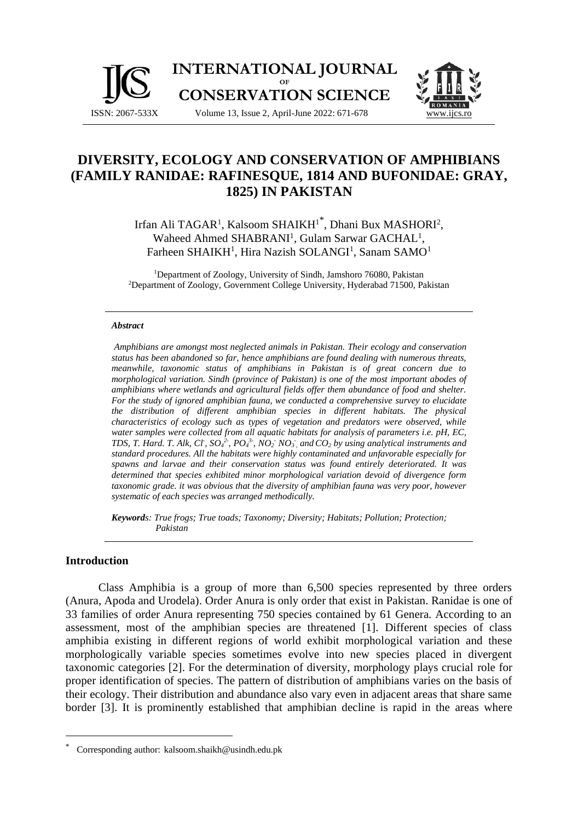



# **DIVERSITY, ECOLOGY AND CONSERVATION OF AMPHIBIANS (FAMILY RANIDAE: RAFINESQUE, 1814 AND BUFONIDAE: GRAY, 1825) IN PAKISTAN**

Irfan Ali TAGAR<sup>1</sup>, Kalsoom SHAIKH<sup>1\*</sup>, Dhani Bux MASHORI<sup>2</sup>, Waheed Ahmed SHABRANI<sup>1</sup>, Gulam Sarwar GACHAL<sup>1</sup>, Farheen SHAIKH<sup>1</sup>, Hira Nazish SOLANGI<sup>1</sup>, Sanam SAMO<sup>1</sup>

<sup>1</sup>Department of Zoology, University of Sindh, Jamshoro 76080, Pakistan <sup>2</sup>Department of Zoology, Government College University, Hyderabad 71500, Pakistan

#### *Abstract*

*Amphibians are amongst most neglected animals in Pakistan. Their ecology and conservation status has been abandoned so far, hence amphibians are found dealing with numerous threats, meanwhile, taxonomic status of amphibians in Pakistan is of great concern due to morphological variation. Sindh (province of Pakistan) is one of the most important abodes of amphibians where wetlands and agricultural fields offer them abundance of food and shelter. For the study of ignored amphibian fauna, we conducted a comprehensive survey to elucidate the distribution of different amphibian species in different habitats. The physical characteristics of ecology such as types of vegetation and predators were observed, while water samples were collected from all aquatic habitats for analysis of parameters i.e. pH, EC,*  TDS, T. Hard. T. Alk, Cl,  $SO_4^2$ ,  $PO_4^3$ ,  $NO_2$   $NO_3$ , and  $CO_2$  by using analytical instruments and *standard procedures. All the habitats were highly contaminated and unfavorable especially for spawns and larvae and their conservation status was found entirely deteriorated. It was determined that species exhibited minor morphological variation devoid of divergence form taxonomic grade. it was obvious that the diversity of amphibian fauna was very poor, however systematic of each species was arranged methodically.* 

*Keywords: True frogs; True toads; Taxonomy; Diversity; Habitats; Pollution; Protection; Pakistan*

#### **Introduction**

Class Amphibia is a group of more than 6,500 species represented by three orders (Anura, Apoda and Urodela). Order Anura is only order that exist in Pakistan. Ranidae is one of 33 families of order Anura representing 750 species contained by 61 Genera. According to an assessment, most of the amphibian species are threatened [1]. Different species of class amphibia existing in different regions of world exhibit morphological variation and these morphologically variable species sometimes evolve into new species placed in divergent taxonomic categories [2]. For the determination of diversity, morphology plays crucial role for proper identification of species. The pattern of distribution of amphibians varies on the basis of their ecology. Their distribution and abundance also vary even in adjacent areas that share same border [3]. It is prominently established that amphibian decline is rapid in the areas where

<sup>\*</sup> Corresponding author: kalsoom.shaikh@usindh.edu.pk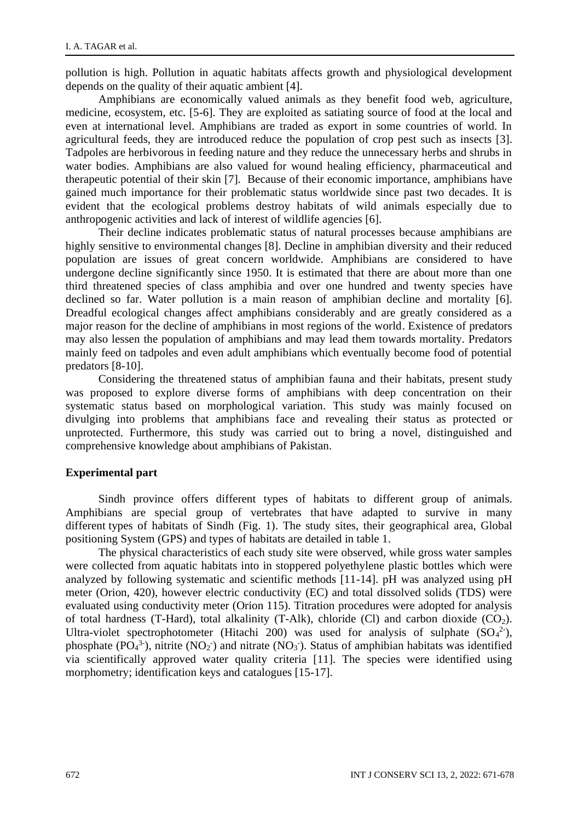pollution is high. Pollution in aquatic habitats affects growth and physiological development depends on the quality of their aquatic ambient [4].

Amphibians are economically valued animals as they benefit food web, agriculture, medicine, ecosystem, etc. [5-6]. They are exploited as satiating source of food at the local and even at international level. Amphibians are traded as export in some countries of world. In agricultural feeds, they are introduced reduce the population of crop pest such as insects [3]. Tadpoles are herbivorous in feeding nature and they reduce the unnecessary herbs and shrubs in water bodies. Amphibians are also valued for wound healing efficiency, pharmaceutical and therapeutic potential of their skin [7]. Because of their economic importance, amphibians have gained much importance for their problematic status worldwide since past two decades. It is evident that the ecological problems destroy habitats of wild animals especially due to anthropogenic activities and lack of interest of wildlife agencies [6].

Their decline indicates problematic status of natural processes because amphibians are highly sensitive to environmental changes [8]. Decline in amphibian diversity and their reduced population are issues of great concern worldwide. Amphibians are considered to have undergone decline significantly since 1950. It is estimated that there are about more than one third threatened species of class amphibia and over one hundred and twenty species have declined so far. Water pollution is a main reason of amphibian decline and mortality [6]. Dreadful ecological changes affect amphibians considerably and are greatly considered as a major reason for the decline of amphibians in most regions of the world. Existence of predators may also lessen the population of amphibians and may lead them towards mortality. Predators mainly feed on tadpoles and even adult amphibians which eventually become food of potential predators [8-10].

Considering the threatened status of amphibian fauna and their habitats, present study was proposed to explore diverse forms of amphibians with deep concentration on their systematic status based on morphological variation. This study was mainly focused on divulging into problems that amphibians face and revealing their status as protected or unprotected. Furthermore, this study was carried out to bring a novel, distinguished and comprehensive knowledge about amphibians of Pakistan.

#### **Experimental part**

Sindh province offers different types of habitats to different group of animals. Amphibians are special group of vertebrates that have adapted to survive in many different types of habitats of Sindh (Fig. 1). The study sites, their geographical area, Global positioning System (GPS) and types of habitats are detailed in table 1.

The physical characteristics of each study site were observed, while gross water samples were collected from aquatic habitats into in stoppered polyethylene plastic bottles which were analyzed by following systematic and scientific methods [11-14]. pH was analyzed using pH meter (Orion, 420), however electric conductivity (EC) and total dissolved solids (TDS) were evaluated using conductivity meter (Orion 115). Titration procedures were adopted for analysis of total hardness (T-Hard), total alkalinity (T-Alk), chloride (Cl) and carbon dioxide (CO<sub>2</sub>). Ultra-violet spectrophotometer (Hitachi 200) was used for analysis of sulphate  $(SO<sub>4</sub><sup>2</sup>)$ , phosphate (PO<sub>4</sub><sup>3</sup>), nitrite (NO<sub>2</sub>) and nitrate (NO<sub>3</sub>). Status of amphibian habitats was identified via scientifically approved water quality criteria [11]. The species were identified using morphometry; identification keys and catalogues [15-17].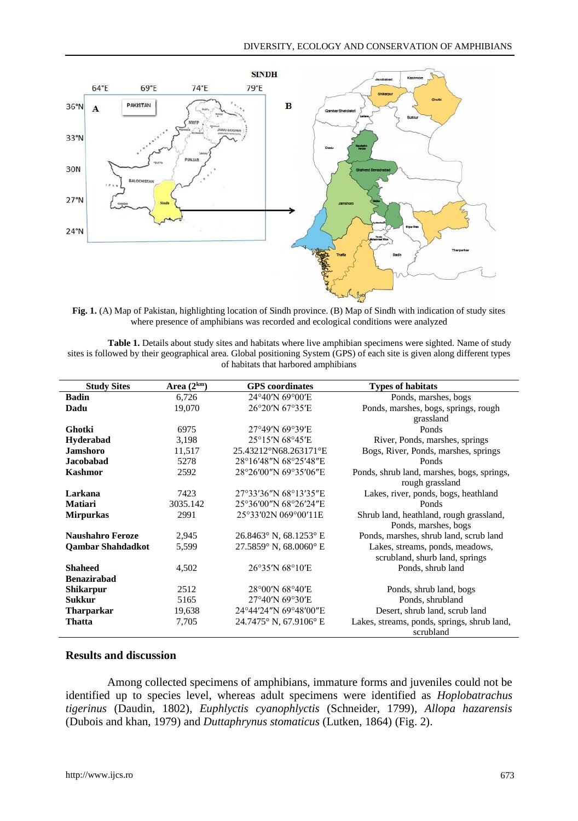

**Fig. 1.** (A) Map of Pakistan, highlighting location of Sindh province. (B) Map of Sindh with indication of study sites where presence of amphibians was recorded and ecological conditions were analyzed

**Table 1.** Details about study sites and habitats where live amphibian specimens were sighted. Name of study sites is followed by their geographical area. Global positioning System (GPS) of each site is given along different types of habitats that harbored amphibians

| <b>Study Sites</b>       | Area $(2^{km})$ | <b>GPS</b> coordinates                   | <b>Types of habitats</b>                    |
|--------------------------|-----------------|------------------------------------------|---------------------------------------------|
| <b>Badin</b>             | 6,726           | 24°40'N 69°00'E                          | Ponds, marshes, bogs                        |
| Dadu                     | 19,070          | 26°20'N 67°35'E                          | Ponds, marshes, bogs, springs, rough        |
|                          |                 |                                          | grassland                                   |
| Ghotki                   | 6975            | 27°49'N 69°39'E                          | Ponds                                       |
| <b>Hyderabad</b>         | 3,198           | 25°15'N 68°45'E                          | River, Ponds, marshes, springs              |
| <b>Jamshoro</b>          | 11,517          | 25.43212°N68.263171°E                    | Bogs, River, Ponds, marshes, springs        |
| <b>Jacobabad</b>         | 5278            | 28°16'48"N 68°25'48"E                    | Ponds                                       |
| <b>Kashmor</b>           | 2592            | 28°26'00"N 69°35'06"E                    | Ponds, shrub land, marshes, bogs, springs,  |
|                          |                 |                                          | rough grassland                             |
| Larkana                  | 7423            | 27°33′36″N 68°13′35″E                    | Lakes, river, ponds, bogs, heathland        |
| <b>Matiari</b>           | 3035.142        | 25°36′00″N 68°26′24″E                    | Ponds                                       |
| <b>Mirpurkas</b>         | 2991            | 25°33′02N 069°00′11E                     | Shrub land, heathland, rough grassland,     |
|                          |                 |                                          | Ponds, marshes, bogs                        |
| <b>Naushahro Feroze</b>  | 2,945           | $26.8463^{\circ}$ N, $68.1253^{\circ}$ E | Ponds, marshes, shrub land, scrub land      |
| <b>Qambar Shahdadkot</b> | 5,599           | 27.5859° N. 68.0060° E                   | Lakes, streams, ponds, meadows,             |
|                          |                 |                                          | scrubland, shurb land, springs              |
| <b>Shaheed</b>           | 4,502           | 26°35'N 68°10'E                          | Ponds, shrub land                           |
| <b>Benazirabad</b>       |                 |                                          |                                             |
| <b>Shikarpur</b>         | 2512            | 28°00'N 68°40'E                          | Ponds, shrub land, bogs                     |
| <b>Sukkur</b>            | 5165            | 27°40'N 69°30'E                          | Ponds, shrubland                            |
| <b>Tharparkar</b>        | 19,638          | 24°44'24"N 69°48'00"E                    | Desert, shrub land, scrub land              |
| Thatta                   | 7,705           | 24.7475° N, 67.9106° E                   | Lakes, streams, ponds, springs, shrub land, |
|                          |                 |                                          | scrubland                                   |

## **Results and discussion**

Among collected specimens of amphibians, immature forms and juveniles could not be identified up to species level, whereas adult specimens were identified as *Hoplobatrachus tigerinus* (Daudin, 1802)*, Euphlyctis cyanophlyctis* (Schneider, 1799)*, Allopa hazarensis* (Dubois and khan, 1979) and *Duttaphrynus stomaticus* (Lutken, 1864) (Fig. 2).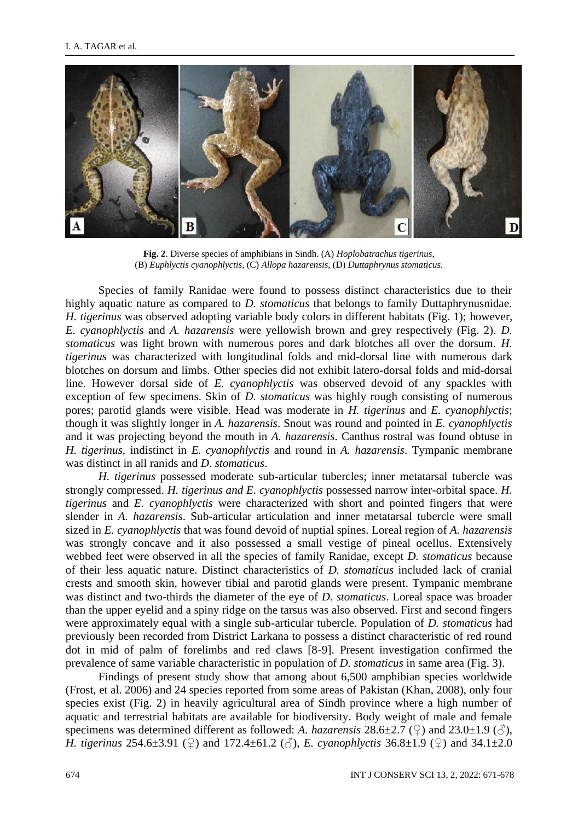

**Fig. 2**. Diverse species of amphibians in Sindh. (A) *Hoplobatrachus tigerinus*, (B) *Euphlyctis cyanophlyctis*, (C) *Allopa hazarensis*, (D) *Duttaphrynus stomaticus.*

Species of family Ranidae were found to possess distinct characteristics due to their highly aquatic nature as compared to *D. stomaticus* that belongs to family Duttaphrynusnidae. *H. tigerinus* was observed adopting variable body colors in different habitats (Fig. 1); however, *E. cyanophlyctis* and *A. hazarensis* were yellowish brown and grey respectively (Fig. 2). *D. stomaticus* was light brown with numerous pores and dark blotches all over the dorsum. *H. tigerinus* was characterized with longitudinal folds and mid-dorsal line with numerous dark blotches on dorsum and limbs*.* Other species did not exhibit latero-dorsal folds and mid-dorsal line. However dorsal side of *E. cyanophlyctis* was observed devoid of any spackles with exception of few specimens. Skin of *D. stomaticus* was highly rough consisting of numerous pores; parotid glands were visible. Head was moderate in *H. tigerinus* and *E. cyanophlyctis*; though it was slightly longer in *A. hazarensis*. Snout was round and pointed in *E. cyanophlyctis* and it was projecting beyond the mouth in *A. hazarensis*. Canthus rostral was found obtuse in *H. tigerinus,* indistinct in *E. cyanophlyctis* and round in *A. hazarensis*. Tympanic membrane was distinct in all ranids and *D. stomaticus*.

*H. tigerinus* possessed moderate sub-articular tubercles; inner metatarsal tubercle was strongly compressed. *H. tigerinus and E. cyanophlyctis* possessed narrow inter-orbital space*. H. tigerinus* and *E. cyanophlyctis* were characterized with short and pointed fingers that were slender in *A. hazarensis*. Sub-articular articulation and inner metatarsal tubercle were small sized in *E. cyanophlyctis* that was found devoid of nuptial spines. Loreal region of *A. hazarensis* was strongly concave and it also possessed a small vestige of pineal ocellus. Extensively webbed feet were observed in all the species of family Ranidae, except *D. stomaticus* because of their less aquatic nature. Distinct characteristics of *D. stomaticus* included lack of cranial crests and smooth skin, however tibial and parotid glands were present. Tympanic membrane was distinct and two-thirds the diameter of the eye of *D. stomaticus*. Loreal space was broader than the upper eyelid and a spiny ridge on the tarsus was also observed. First and second fingers were approximately equal with a single sub-articular tubercle. Population of *D. stomaticus* had previously been recorded from District Larkana to possess a distinct characteristic of red round dot in mid of palm of forelimbs and red claws [8-9]. Present investigation confirmed the prevalence of same variable characteristic in population of *D. stomaticus* in same area (Fig. 3).

Findings of present study show that among about 6,500 amphibian species worldwide (Frost, et al. 2006) and 24 species reported from some areas of Pakistan (Khan, 2008), only four species exist (Fig. 2) in heavily agricultural area of Sindh province where a high number of aquatic and terrestrial habitats are available for biodiversity. Body weight of male and female specimens was determined different as followed: *A. hazarensis*  $28.6\pm2.7$  ( $\circ$ ) and  $23.0\pm1.9$  ( $\circ$ ), *H. tigerinus* 254.6±3.91 (♀) and 172.4±61.2 (♂), *E. cyanophlyctis* 36.8±1.9 (♀) and 34.1±2.0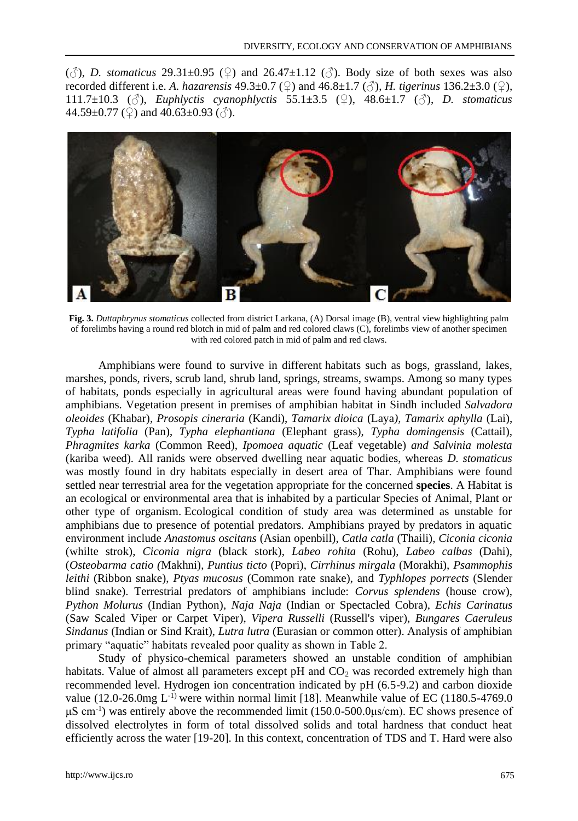$(\text{A})$ , *D. stomaticus* 29.31±0.95 ( $\textcircled{2}$ ) and 26.47±1.12 ( $\textcircled{3}$ ). Body size of both sexes was also recorded different i.e. *A. hazarensis* 49.3±0.7 (♀) and 46.8±1.7 (♂), *H. tigerinus* 136.2±3.0 (♀), 111.7±10.3 (♂), *Euphlyctis cyanophlyctis* 55.1±3.5 (♀), 48.6±1.7 (♂), *D. stomaticus* 44.59±0.77 ( $\circled{2}$ ) and 40.63±0.93 ( $\circled{3}$ ).



**Fig. 3.** *Duttaphrynus stomaticus* collected from district Larkana, (A) Dorsal image (B), ventral view highlighting palm of forelimbs having a round red blotch in mid of palm and red colored claws (C), forelimbs view of another specimen with red colored patch in mid of palm and red claws.

Amphibians were found to survive in different habitats such as bogs, grassland, lakes, marshes, ponds, rivers, scrub land, shrub land, springs, streams, swamps. Among so many types of habitats, ponds especially in agricultural areas were found having abundant population of amphibians. Vegetation present in premises of amphibian habitat in Sindh included *Salvadora oleoides* (Khabar)*, Prosopis cineraria* (Kandi), *Tamarix dioica* (Laya*), Tamarix aphylla* (Lai), *Typha latifolia* (Pan), *Typha elephantiana* (Elephant grass), *Typha domingensis* (Cattail)*, Phragmites karka* (Common Reed), *Ipomoea aquatic* (Leaf vegetable) *and Salvinia molesta*  (kariba weed)*.* All ranids were observed dwelling near aquatic bodies, whereas *D. stomaticus*  was mostly found in dry habitats especially in desert area of Thar. Amphibians were found settled near terrestrial area for the vegetation appropriate for the concerned **species**. A Habitat is an ecological or environmental area that is inhabited by a particular Species of Animal, Plant or other type of organism. Ecological condition of study area was determined as unstable for amphibians due to presence of potential predators. Amphibians prayed by predators in aquatic environment include *Anastomus oscitans* (Asian openbill), *Catla catla* (Thaili), *Ciconia ciconia* (whilte strok), *Ciconia nigra* (black stork), *Labeo rohita* (Rohu), *Labeo calbas* (Dahi), (*Osteobarma catio (*Makhni), *Puntius ticto* (Popri), *Cirrhinus mirgala* (Morakhi), *Psammophis leithi* (Ribbon snake), *Ptyas mucosus* (Common rate snake), and *Typhlopes porrects* (Slender blind snake). Terrestrial predators of amphibians include: *Corvus splendens* (house crow), *Python Molurus* (Indian Python), *Naja Naja* (Indian or Spectacled Cobra), *Echis Carinatus* (Saw Scaled Viper or Carpet Viper), *Vipera Russelli* (Russell's viper), *Bungares Caeruleus Sindanus* (Indian or Sind Krait), *Lutra lutra* (Eurasian or common otter). Analysis of amphibian primary "aquatic" habitats revealed poor quality as shown in Table 2.

Study of physico-chemical parameters showed an unstable condition of amphibian habitats. Value of almost all parameters except pH and CO<sub>2</sub> was recorded extremely high than recommended level. Hydrogen ion concentration indicated by pH (6.5-9.2) and carbon dioxide value  $(12.0\n-26.0 \text{mg } L^{-1})$  were within normal limit [18]. Meanwhile value of EC (1180.5-4769.0 μS cm-1 ) was entirely above the recommended limit (150.0-500.0μs/cm). EC shows presence of dissolved electrolytes in form of total dissolved solids and total hardness that conduct heat efficiently across the water [19-20]. In this context, concentration of TDS and T. Hard were also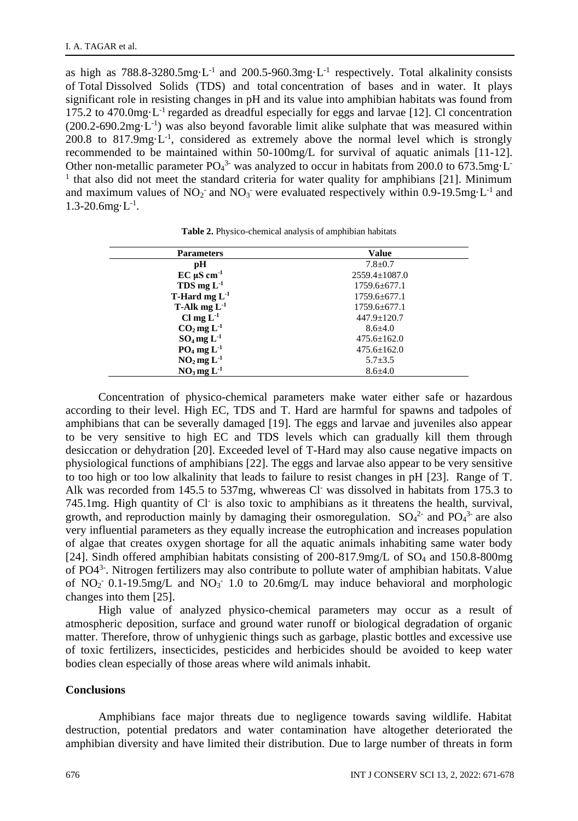as high as  $788.8-3280.5mg \cdot L^{-1}$  and  $200.5-960.3mg \cdot L^{-1}$  respectively. Total alkalinity consists of Total Dissolved Solids (TDS) and total concentration of bases and in water. It plays significant role in resisting changes in pH and its value into amphibian habitats was found from 175.2 to 470.0mg $\cdot L^{-1}$  regarded as dreadful especially for eggs and larvae [12]. Cl concentration (200.2-690.2mg·L<sup>-1</sup>) was also beyond favorable limit alike sulphate that was measured within 200.8 to  $817.9mg \cdot L^{-1}$ , considered as extremely above the normal level which is strongly recommended to be maintained within 50-100mg/L for survival of aquatic animals [11-12]. Other non-metallic parameter  $PO<sub>4</sub><sup>3</sup>$  was analyzed to occur in habitats from 200.0 to 673.5mg L<sup>-</sup> <sup>1</sup> that also did not meet the standard criteria for water quality for amphibians [21]. Minimum and maximum values of  $NO_2$  and  $NO_3$  were evaluated respectively within 0.9-19.5mg $\cdot L^{-1}$  and  $1.3 - 20.6$ mg $\cdot L^{-1}$ .

| <b>Parameters</b>               | Value               |
|---------------------------------|---------------------|
| рH                              | $7.8 \pm 0.7$       |
| $EC \mu S \text{ cm}^{-1}$      | $2559.4 \pm 1087.0$ |
| TDS mg $L^{-1}$                 | $1759.6 \pm 677.1$  |
| <b>T-Hard mg L</b> <sup>1</sup> | $1759.6 \pm 677.1$  |
| T-Alk mg $L^{-1}$               | $1759.6 \pm 677.1$  |
| Cl mg $L^{-1}$                  | $447.9 \pm 120.7$   |
| $CO2$ mg L <sup>-1</sup>        | $8.6{\pm}4.0$       |
| $SO_4$ mg $L^{-1}$              | $475.6 \pm 162.0$   |
| $PO_4$ mg $L^{-1}$              | $475.6 \pm 162.0$   |
| $NO2$ mg L <sup>-1</sup>        | $5.7 \pm 3.5$       |
| $NO3$ mg $L-1$                  | $8.6{\pm}4.0$       |

**Table 2.** Physico-chemical analysis of amphibian habitats

Concentration of physico-chemical parameters make water either safe or hazardous according to their level. High EC, TDS and T. Hard are harmful for spawns and tadpoles of amphibians that can be severally damaged [19]. The eggs and larvae and juveniles also appear to be very sensitive to high EC and TDS levels which can gradually kill them through desiccation or dehydration [20]. Exceeded level of T-Hard may also cause negative impacts on physiological functions of amphibians [22]. The eggs and larvae also appear to be very sensitive to too high or too low alkalinity that leads to failure to resist changes in pH [23]. Range of T. Alk was recorded from 145.5 to 537mg, whwereas Cl<sup>-</sup> was dissolved in habitats from 175.3 to 745.1mg. High quantity of Cl is also toxic to amphibians as it threatens the health, survival, growth, and reproduction mainly by damaging their osmoregulation.  $SO_4^2$  and  $PO_4^3$  are also very influential parameters as they equally increase the eutrophication and increases population of algae that creates oxygen shortage for all the aquatic animals inhabiting same water body [24]. Sindh offered amphibian habitats consisting of 200-817.9mg/L of SO<sup>4</sup> and 150.8-800mg of PO4<sup>3-</sup>. Nitrogen fertilizers may also contribute to pollute water of amphibian habitats. Value of  $NO_2$ <sup>-</sup> 0.1-19.5mg/L and  $NO_3$ <sup>-</sup> 1.0 to 20.6mg/L may induce behavioral and morphologic changes into them [25].

High value of analyzed physico-chemical parameters may occur as a result of atmospheric deposition, surface and ground water runoff or biological degradation of organic matter. Therefore, throw of unhygienic things such as garbage, plastic bottles and excessive use of toxic fertilizers, insecticides, pesticides and herbicides should be avoided to keep water bodies clean especially of those areas where wild animals inhabit.

#### **Conclusions**

Amphibians face major threats due to negligence towards saving wildlife. Habitat destruction, potential predators and water contamination have altogether deteriorated the amphibian diversity and have limited their distribution. Due to large number of threats in form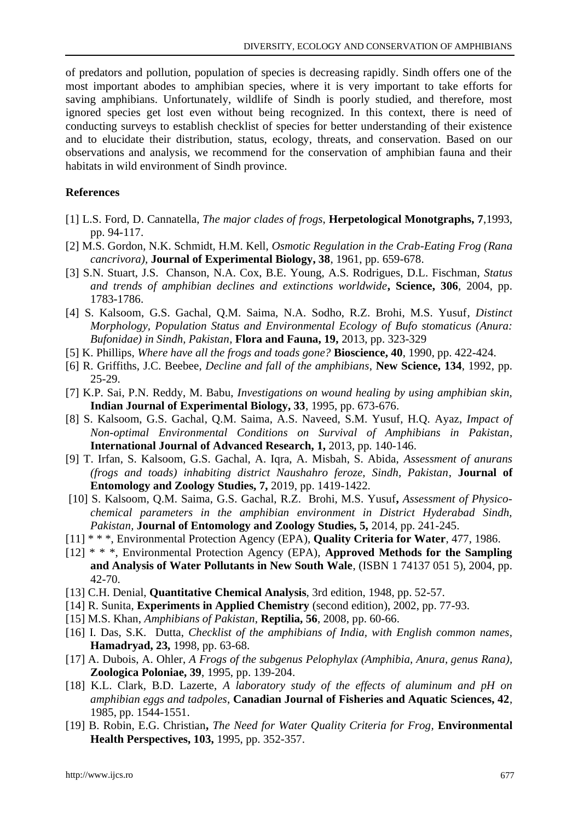of predators and pollution, population of species is decreasing rapidly. Sindh offers one of the most important abodes to amphibian species, where it is very important to take efforts for saving amphibians. Unfortunately, wildlife of Sindh is poorly studied, and therefore, most ignored species get lost even without being recognized. In this context, there is need of conducting surveys to establish checklist of species for better understanding of their existence and to elucidate their distribution, status, ecology, threats, and conservation. Based on our observations and analysis, we recommend for the conservation of amphibian fauna and their habitats in wild environment of Sindh province.

### **References**

- [1] L.S. Ford, D. Cannatella, *The major clades of frogs*, **Herpetological Monotgraphs, 7**,1993, pp. 94-117.
- [2] M.S. Gordon, N.K. Schmidt, H.M. Kell, *Osmotic Regulation in the Crab-Eating Frog (Rana cancrivora),* **Journal of Experimental Biology, 38**, 1961, pp. 659-678.
- [3] S.N. Stuart, J.S. Chanson, N.A. Cox, B.E. Young, A.S. Rodrigues, D.L. Fischman, *Status and trends of amphibian declines and extinctions worldwide***, Science, 306**, 2004, pp. 1783-1786.
- [4] S. Kalsoom, G.S. Gachal, Q.M. Saima, N.A. Sodho, R.Z. Brohi, M.S. Yusuf, *Distinct Morphology, Population Status and Environmental Ecology of Bufo stomaticus (Anura: Bufonidae) in Sindh, Pakistan,* **Flora and Fauna, 19,** 2013, pp. 323-329
- [5] K. Phillips*, Where have all the frogs and toads gone?* **Bioscience, 40**, 1990, pp. 422-424.
- [6] R. Griffiths, J.C. Beebee, *Decline and fall of the amphibians*, **New Science, 134**, 1992, pp. 25-29.
- [7] K.P. Sai, P.N. Reddy, M. Babu, *Investigations on wound healing by using amphibian skin,*  **Indian Journal of Experimental Biology, 33**, 1995, pp. 673-676.
- [8] S. Kalsoom, G.S. Gachal, Q.M. Saima, A.S. Naveed, S.M. Yusuf, H.Q. Ayaz, *Impact of Non-optimal Environmental Conditions on Survival of Amphibians in Pakistan*, **International Journal of Advanced Research, 1,** 2013, pp. 140-146.
- [9] T. Irfan, S. Kalsoom, G.S. Gachal, A. Iqra, A. Misbah, S. Abida, *Assessment of anurans (frogs and toads) inhabiting district Naushahro feroze, Sindh, Pakistan*, **Journal of Entomology and Zoology Studies, 7,** 2019, pp. 1419-1422.
- [10] S. Kalsoom, Q.M. Saima, G.S. Gachal, R.Z. Brohi, M.S. Yusuf**,** *Assessment of Physicochemical parameters in the amphibian environment in District Hyderabad Sindh, Pakistan,* **Journal of Entomology and Zoology Studies, 5,** 2014, pp. 241-245.
- [11] \* \* \*, Environmental Protection Agency (EPA), **Quality Criteria for Water**, 477, 1986.
- [12] \* \* \*, Environmental Protection Agency (EPA), **Approved Methods for the Sampling and Analysis of Water Pollutants in New South Wale**, (ISBN 1 74137 051 5), 2004, pp. 42-70.
- [13] C.H. Denial, **Quantitative Chemical Analysis**, 3rd edition, 1948, pp. 52-57.
- [14] R. Sunita, **Experiments in Applied Chemistry** (second edition), 2002, pp. 77-93.
- [15] M.S. Khan, *Amphibians of Pakistan*, **Reptilia, 56**, 2008, pp. 60-66.
- [16] I. Das, S.K. Dutta, *Checklist of the amphibians of India, with English common names,* **Hamadryad, 23,** 1998, pp. 63-68.
- [17] A. Dubois, A. Ohler, *A Frogs of the subgenus Pelophylax (Amphibia, Anura, genus Rana),* **Zoologica Poloniae, 39**, 1995, pp. 139-204.
- [18] K.L. Clark, B.D. Lazerte, *A laboratory study of the effects of aluminum and pH on amphibian eggs and tadpoles*, **Canadian Journal of Fisheries and Aquatic Sciences, 42**, 1985, pp. 1544-1551.
- [19] B. Robin, E.G. Christian**,** *The Need for Water Quality Criteria for Frog,* **Environmental Health Perspectives, 103,** 1995, pp. 352-357.